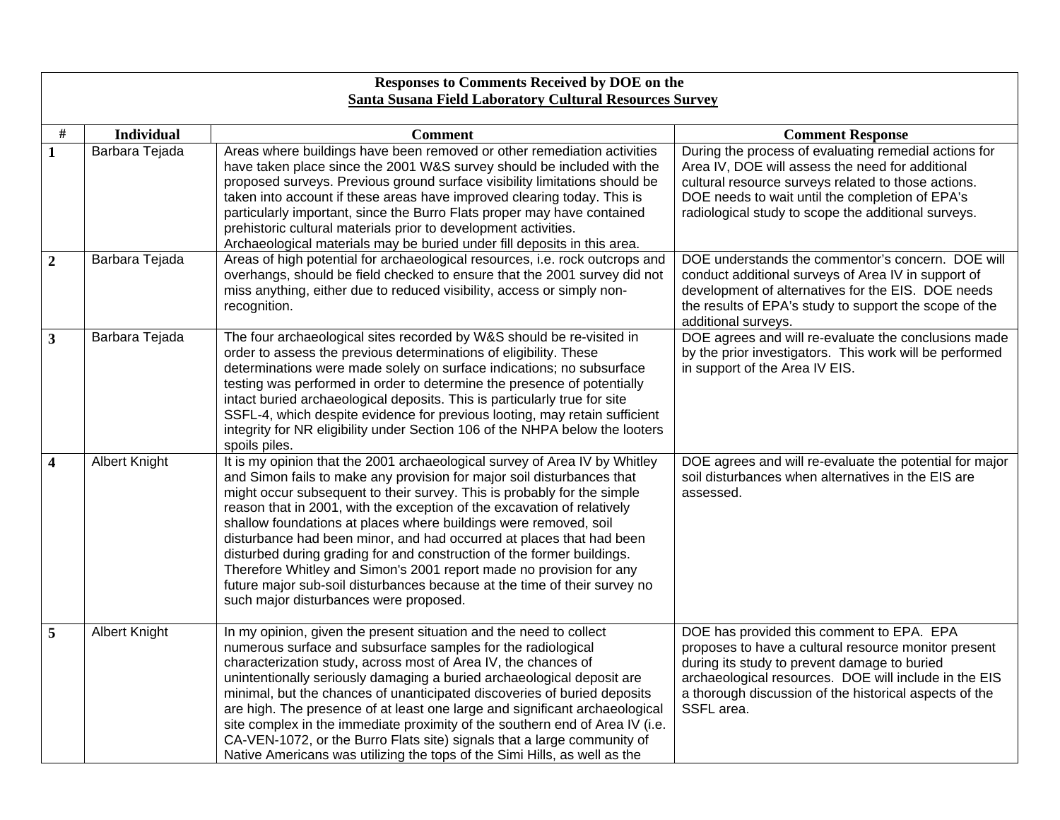|                         | Responses to Comments Received by DOE on the                   |                                                                                                                                                                                                                                                                                                                                                                                                                                                                                                                                                                                                                                                                                                                                |                                                                                                                                                                                                                                                                                    |  |
|-------------------------|----------------------------------------------------------------|--------------------------------------------------------------------------------------------------------------------------------------------------------------------------------------------------------------------------------------------------------------------------------------------------------------------------------------------------------------------------------------------------------------------------------------------------------------------------------------------------------------------------------------------------------------------------------------------------------------------------------------------------------------------------------------------------------------------------------|------------------------------------------------------------------------------------------------------------------------------------------------------------------------------------------------------------------------------------------------------------------------------------|--|
|                         | <b>Santa Susana Field Laboratory Cultural Resources Survey</b> |                                                                                                                                                                                                                                                                                                                                                                                                                                                                                                                                                                                                                                                                                                                                |                                                                                                                                                                                                                                                                                    |  |
| #                       | <b>Individual</b>                                              | <b>Comment</b>                                                                                                                                                                                                                                                                                                                                                                                                                                                                                                                                                                                                                                                                                                                 | <b>Comment Response</b>                                                                                                                                                                                                                                                            |  |
| $\mathbf{1}$            | Barbara Tejada                                                 | Areas where buildings have been removed or other remediation activities<br>have taken place since the 2001 W&S survey should be included with the<br>proposed surveys. Previous ground surface visibility limitations should be<br>taken into account if these areas have improved clearing today. This is<br>particularly important, since the Burro Flats proper may have contained<br>prehistoric cultural materials prior to development activities.<br>Archaeological materials may be buried under fill deposits in this area.                                                                                                                                                                                           | During the process of evaluating remedial actions for<br>Area IV, DOE will assess the need for additional<br>cultural resource surveys related to those actions.<br>DOE needs to wait until the completion of EPA's<br>radiological study to scope the additional surveys.         |  |
| $\overline{2}$          | Barbara Tejada                                                 | Areas of high potential for archaeological resources, i.e. rock outcrops and<br>overhangs, should be field checked to ensure that the 2001 survey did not<br>miss anything, either due to reduced visibility, access or simply non-<br>recognition.                                                                                                                                                                                                                                                                                                                                                                                                                                                                            | DOE understands the commentor's concern. DOE will<br>conduct additional surveys of Area IV in support of<br>development of alternatives for the EIS. DOE needs<br>the results of EPA's study to support the scope of the<br>additional surveys.                                    |  |
| $\overline{\mathbf{3}}$ | Barbara Tejada                                                 | The four archaeological sites recorded by W&S should be re-visited in<br>order to assess the previous determinations of eligibility. These<br>determinations were made solely on surface indications; no subsurface<br>testing was performed in order to determine the presence of potentially<br>intact buried archaeological deposits. This is particularly true for site<br>SSFL-4, which despite evidence for previous looting, may retain sufficient<br>integrity for NR eligibility under Section 106 of the NHPA below the looters<br>spoils piles.                                                                                                                                                                     | DOE agrees and will re-evaluate the conclusions made<br>by the prior investigators. This work will be performed<br>in support of the Area IV EIS.                                                                                                                                  |  |
| 4                       | Albert Knight                                                  | It is my opinion that the 2001 archaeological survey of Area IV by Whitley<br>and Simon fails to make any provision for major soil disturbances that<br>might occur subsequent to their survey. This is probably for the simple<br>reason that in 2001, with the exception of the excavation of relatively<br>shallow foundations at places where buildings were removed, soil<br>disturbance had been minor, and had occurred at places that had been<br>disturbed during grading for and construction of the former buildings.<br>Therefore Whitley and Simon's 2001 report made no provision for any<br>future major sub-soil disturbances because at the time of their survey no<br>such major disturbances were proposed. | DOE agrees and will re-evaluate the potential for major<br>soil disturbances when alternatives in the EIS are<br>assessed.                                                                                                                                                         |  |
| 5                       | <b>Albert Knight</b>                                           | In my opinion, given the present situation and the need to collect<br>numerous surface and subsurface samples for the radiological<br>characterization study, across most of Area IV, the chances of<br>unintentionally seriously damaging a buried archaeological deposit are<br>minimal, but the chances of unanticipated discoveries of buried deposits<br>are high. The presence of at least one large and significant archaeological<br>site complex in the immediate proximity of the southern end of Area IV (i.e.<br>CA-VEN-1072, or the Burro Flats site) signals that a large community of<br>Native Americans was utilizing the tops of the Simi Hills, as well as the                                              | DOE has provided this comment to EPA. EPA<br>proposes to have a cultural resource monitor present<br>during its study to prevent damage to buried<br>archaeological resources. DOE will include in the EIS<br>a thorough discussion of the historical aspects of the<br>SSFL area. |  |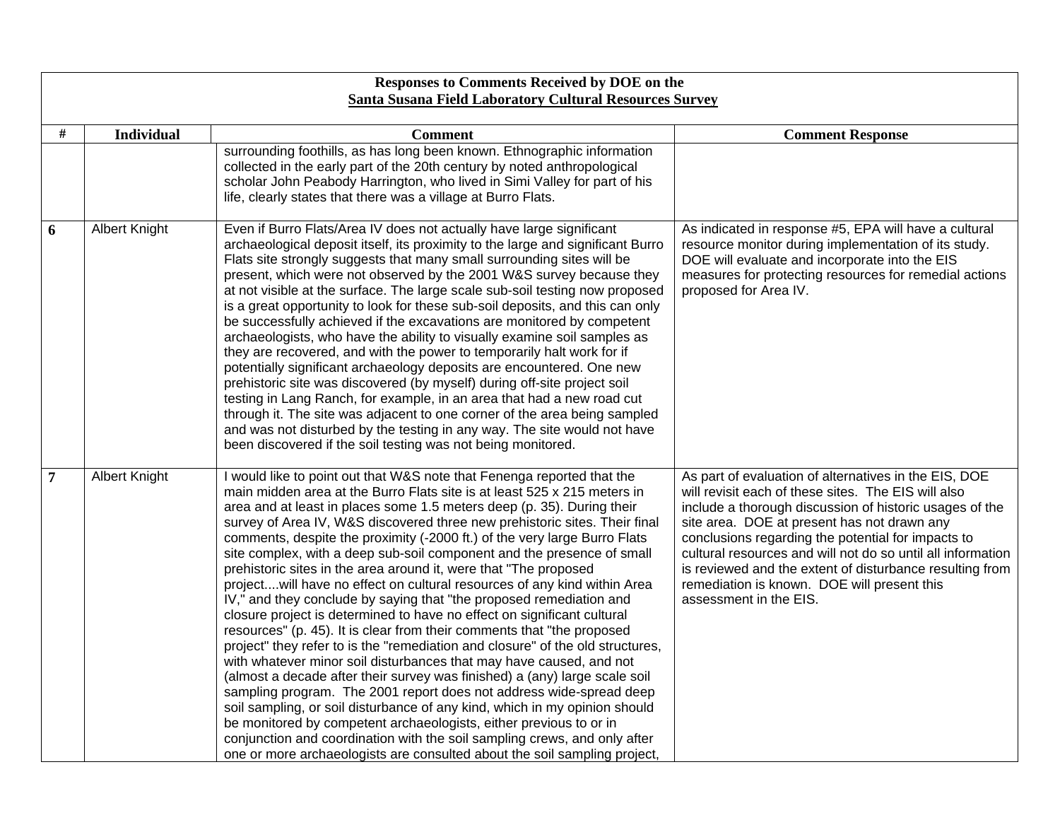|   | Responses to Comments Received by DOE on the<br>Santa Susana Field Laboratory Cultural Resources Survey |                                                                                                                                                                                                                                                                                                                                                                                                                                                                                                                                                                                                                                                                                                                                                                                                                                                                                                                                                                                                                                                                                                                                                                                                                                                                                                                                                                                                                                                                           |                                                                                                                                                                                                                                                                                                                                                                                                                                                                                  |  |
|---|---------------------------------------------------------------------------------------------------------|---------------------------------------------------------------------------------------------------------------------------------------------------------------------------------------------------------------------------------------------------------------------------------------------------------------------------------------------------------------------------------------------------------------------------------------------------------------------------------------------------------------------------------------------------------------------------------------------------------------------------------------------------------------------------------------------------------------------------------------------------------------------------------------------------------------------------------------------------------------------------------------------------------------------------------------------------------------------------------------------------------------------------------------------------------------------------------------------------------------------------------------------------------------------------------------------------------------------------------------------------------------------------------------------------------------------------------------------------------------------------------------------------------------------------------------------------------------------------|----------------------------------------------------------------------------------------------------------------------------------------------------------------------------------------------------------------------------------------------------------------------------------------------------------------------------------------------------------------------------------------------------------------------------------------------------------------------------------|--|
|   |                                                                                                         |                                                                                                                                                                                                                                                                                                                                                                                                                                                                                                                                                                                                                                                                                                                                                                                                                                                                                                                                                                                                                                                                                                                                                                                                                                                                                                                                                                                                                                                                           |                                                                                                                                                                                                                                                                                                                                                                                                                                                                                  |  |
| # | <b>Individual</b>                                                                                       | <b>Comment</b><br>surrounding foothills, as has long been known. Ethnographic information<br>collected in the early part of the 20th century by noted anthropological<br>scholar John Peabody Harrington, who lived in Simi Valley for part of his<br>life, clearly states that there was a village at Burro Flats.                                                                                                                                                                                                                                                                                                                                                                                                                                                                                                                                                                                                                                                                                                                                                                                                                                                                                                                                                                                                                                                                                                                                                       | <b>Comment Response</b>                                                                                                                                                                                                                                                                                                                                                                                                                                                          |  |
| 6 | <b>Albert Knight</b>                                                                                    | Even if Burro Flats/Area IV does not actually have large significant<br>archaeological deposit itself, its proximity to the large and significant Burro<br>Flats site strongly suggests that many small surrounding sites will be<br>present, which were not observed by the 2001 W&S survey because they<br>at not visible at the surface. The large scale sub-soil testing now proposed<br>is a great opportunity to look for these sub-soil deposits, and this can only<br>be successfully achieved if the excavations are monitored by competent<br>archaeologists, who have the ability to visually examine soil samples as<br>they are recovered, and with the power to temporarily halt work for if<br>potentially significant archaeology deposits are encountered. One new<br>prehistoric site was discovered (by myself) during off-site project soil<br>testing in Lang Ranch, for example, in an area that had a new road cut<br>through it. The site was adjacent to one corner of the area being sampled<br>and was not disturbed by the testing in any way. The site would not have<br>been discovered if the soil testing was not being monitored.                                                                                                                                                                                                                                                                                                        | As indicated in response #5, EPA will have a cultural<br>resource monitor during implementation of its study.<br>DOE will evaluate and incorporate into the EIS<br>measures for protecting resources for remedial actions<br>proposed for Area IV.                                                                                                                                                                                                                               |  |
| 7 | <b>Albert Knight</b>                                                                                    | I would like to point out that W&S note that Fenenga reported that the<br>main midden area at the Burro Flats site is at least 525 x 215 meters in<br>area and at least in places some 1.5 meters deep (p. 35). During their<br>survey of Area IV, W&S discovered three new prehistoric sites. Their final<br>comments, despite the proximity (-2000 ft.) of the very large Burro Flats<br>site complex, with a deep sub-soil component and the presence of small<br>prehistoric sites in the area around it, were that "The proposed<br>projectwill have no effect on cultural resources of any kind within Area<br>IV," and they conclude by saying that "the proposed remediation and<br>closure project is determined to have no effect on significant cultural<br>resources" (p. 45). It is clear from their comments that "the proposed<br>project" they refer to is the "remediation and closure" of the old structures,<br>with whatever minor soil disturbances that may have caused, and not<br>(almost a decade after their survey was finished) a (any) large scale soil<br>sampling program. The 2001 report does not address wide-spread deep<br>soil sampling, or soil disturbance of any kind, which in my opinion should<br>be monitored by competent archaeologists, either previous to or in<br>conjunction and coordination with the soil sampling crews, and only after<br>one or more archaeologists are consulted about the soil sampling project, | As part of evaluation of alternatives in the EIS, DOE<br>will revisit each of these sites. The EIS will also<br>include a thorough discussion of historic usages of the<br>site area. DOE at present has not drawn any<br>conclusions regarding the potential for impacts to<br>cultural resources and will not do so until all information<br>is reviewed and the extent of disturbance resulting from<br>remediation is known. DOE will present this<br>assessment in the EIS. |  |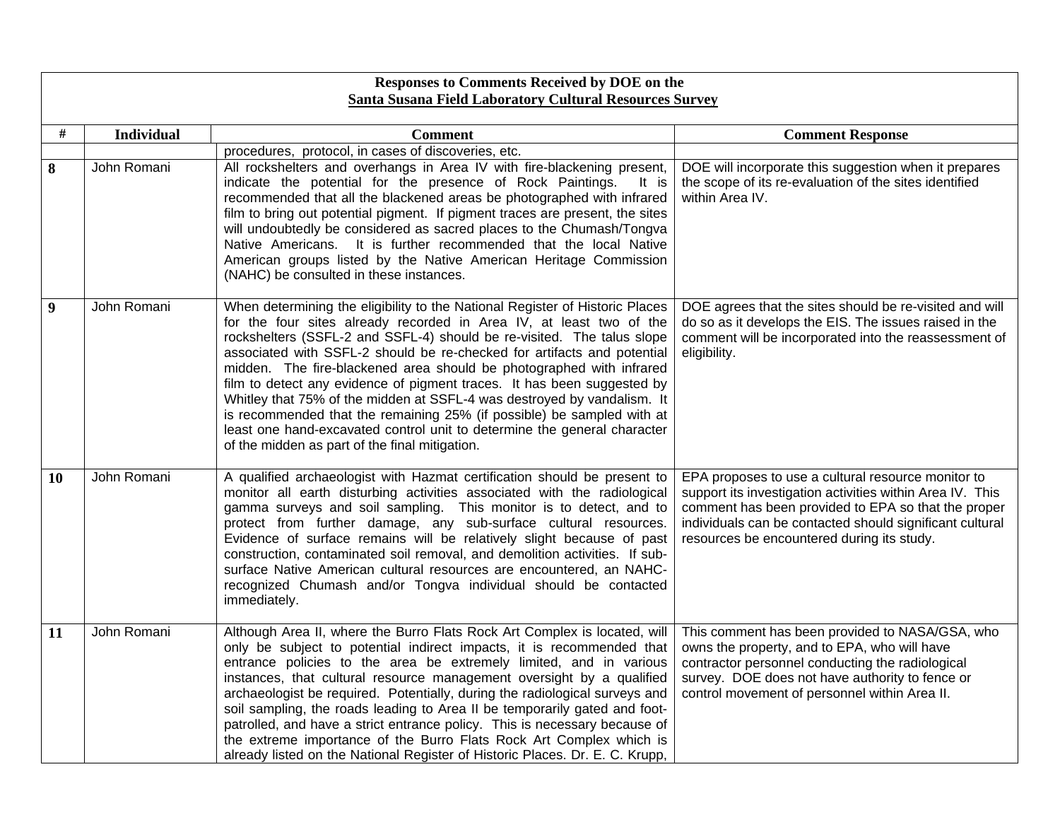|                  | Responses to Comments Received by DOE on the                   |                                                                                                                                                                                                                                                                                                                                                                                                                                                                                                                                                                                                                                                                                                                                                |                                                                                                                                                                                                                                                                                  |  |
|------------------|----------------------------------------------------------------|------------------------------------------------------------------------------------------------------------------------------------------------------------------------------------------------------------------------------------------------------------------------------------------------------------------------------------------------------------------------------------------------------------------------------------------------------------------------------------------------------------------------------------------------------------------------------------------------------------------------------------------------------------------------------------------------------------------------------------------------|----------------------------------------------------------------------------------------------------------------------------------------------------------------------------------------------------------------------------------------------------------------------------------|--|
|                  | <b>Santa Susana Field Laboratory Cultural Resources Survey</b> |                                                                                                                                                                                                                                                                                                                                                                                                                                                                                                                                                                                                                                                                                                                                                |                                                                                                                                                                                                                                                                                  |  |
| #                | <b>Individual</b>                                              | <b>Comment</b>                                                                                                                                                                                                                                                                                                                                                                                                                                                                                                                                                                                                                                                                                                                                 | <b>Comment Response</b>                                                                                                                                                                                                                                                          |  |
|                  |                                                                | procedures, protocol, in cases of discoveries, etc.                                                                                                                                                                                                                                                                                                                                                                                                                                                                                                                                                                                                                                                                                            |                                                                                                                                                                                                                                                                                  |  |
| 8                | John Romani                                                    | All rockshelters and overhangs in Area IV with fire-blackening present,<br>indicate the potential for the presence of Rock Paintings.<br>It is<br>recommended that all the blackened areas be photographed with infrared<br>film to bring out potential pigment. If pigment traces are present, the sites<br>will undoubtedly be considered as sacred places to the Chumash/Tongva<br>Native Americans. It is further recommended that the local Native<br>American groups listed by the Native American Heritage Commission<br>(NAHC) be consulted in these instances.                                                                                                                                                                        | DOE will incorporate this suggestion when it prepares<br>the scope of its re-evaluation of the sites identified<br>within Area IV.                                                                                                                                               |  |
| $\boldsymbol{9}$ | John Romani                                                    | When determining the eligibility to the National Register of Historic Places<br>for the four sites already recorded in Area IV, at least two of the<br>rockshelters (SSFL-2 and SSFL-4) should be re-visited. The talus slope<br>associated with SSFL-2 should be re-checked for artifacts and potential<br>midden. The fire-blackened area should be photographed with infrared<br>film to detect any evidence of pigment traces. It has been suggested by<br>Whitley that 75% of the midden at SSFL-4 was destroyed by vandalism. It<br>is recommended that the remaining 25% (if possible) be sampled with at<br>least one hand-excavated control unit to determine the general character<br>of the midden as part of the final mitigation. | DOE agrees that the sites should be re-visited and will<br>do so as it develops the EIS. The issues raised in the<br>comment will be incorporated into the reassessment of<br>eligibility.                                                                                       |  |
| 10               | John Romani                                                    | A qualified archaeologist with Hazmat certification should be present to<br>monitor all earth disturbing activities associated with the radiological<br>gamma surveys and soil sampling. This monitor is to detect, and to<br>protect from further damage, any sub-surface cultural resources.<br>Evidence of surface remains will be relatively slight because of past<br>construction, contaminated soil removal, and demolition activities. If sub-<br>surface Native American cultural resources are encountered, an NAHC-<br>recognized Chumash and/or Tongva individual should be contacted<br>immediately.                                                                                                                              | EPA proposes to use a cultural resource monitor to<br>support its investigation activities within Area IV. This<br>comment has been provided to EPA so that the proper<br>individuals can be contacted should significant cultural<br>resources be encountered during its study. |  |
| 11               | John Romani                                                    | Although Area II, where the Burro Flats Rock Art Complex is located, will<br>only be subject to potential indirect impacts, it is recommended that<br>entrance policies to the area be extremely limited, and in various<br>instances, that cultural resource management oversight by a qualified<br>archaeologist be required. Potentially, during the radiological surveys and<br>soil sampling, the roads leading to Area II be temporarily gated and foot-<br>patrolled, and have a strict entrance policy. This is necessary because of<br>the extreme importance of the Burro Flats Rock Art Complex which is<br>already listed on the National Register of Historic Places. Dr. E. C. Krupp,                                            | This comment has been provided to NASA/GSA, who<br>owns the property, and to EPA, who will have<br>contractor personnel conducting the radiological<br>survey. DOE does not have authority to fence or<br>control movement of personnel within Area II.                          |  |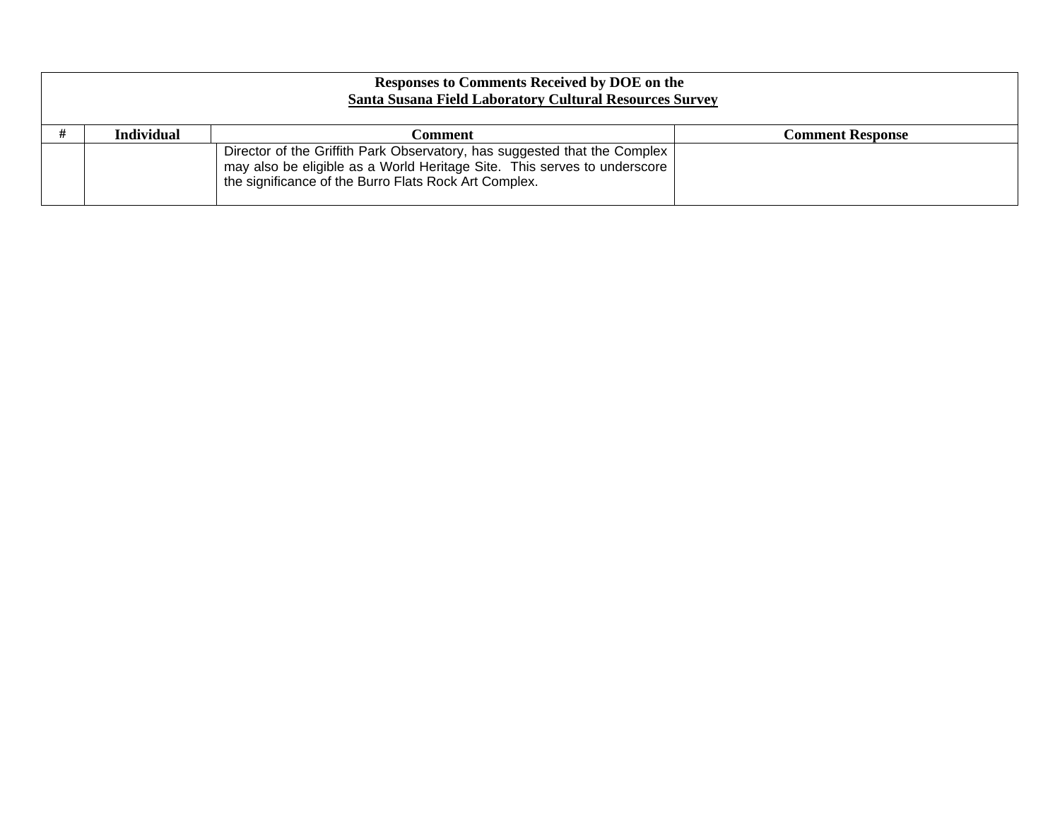| <b>Responses to Comments Received by DOE on the</b><br><b>Santa Susana Field Laboratory Cultural Resources Survey</b> |                   |                                                                                                                                                                                                                |                         |
|-----------------------------------------------------------------------------------------------------------------------|-------------------|----------------------------------------------------------------------------------------------------------------------------------------------------------------------------------------------------------------|-------------------------|
|                                                                                                                       | <b>Individual</b> | Comment                                                                                                                                                                                                        | <b>Comment Response</b> |
|                                                                                                                       |                   | Director of the Griffith Park Observatory, has suggested that the Complex<br>may also be eligible as a World Heritage Site. This serves to underscore<br>the significance of the Burro Flats Rock Art Complex. |                         |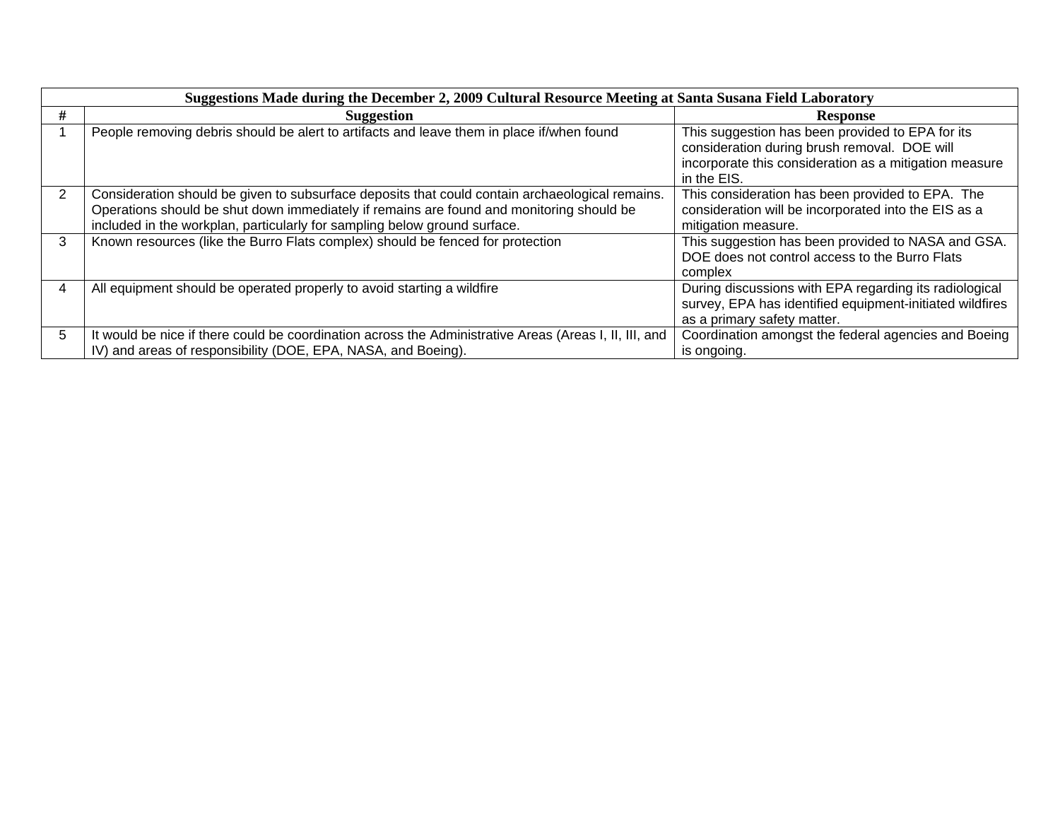|   | Suggestions Made during the December 2, 2009 Cultural Resource Meeting at Santa Susana Field Laboratory                                                                                                                                                                  |                                                                                                                                                                           |  |  |
|---|--------------------------------------------------------------------------------------------------------------------------------------------------------------------------------------------------------------------------------------------------------------------------|---------------------------------------------------------------------------------------------------------------------------------------------------------------------------|--|--|
| # | <b>Suggestion</b>                                                                                                                                                                                                                                                        | <b>Response</b>                                                                                                                                                           |  |  |
|   | People removing debris should be alert to artifacts and leave them in place if/when found                                                                                                                                                                                | This suggestion has been provided to EPA for its<br>consideration during brush removal. DOE will<br>incorporate this consideration as a mitigation measure<br>in the EIS. |  |  |
| 2 | Consideration should be given to subsurface deposits that could contain archaeological remains.<br>Operations should be shut down immediately if remains are found and monitoring should be<br>included in the workplan, particularly for sampling below ground surface. | This consideration has been provided to EPA. The<br>consideration will be incorporated into the EIS as a<br>mitigation measure.                                           |  |  |
| 3 | Known resources (like the Burro Flats complex) should be fenced for protection                                                                                                                                                                                           | This suggestion has been provided to NASA and GSA.<br>DOE does not control access to the Burro Flats<br>complex                                                           |  |  |
|   | All equipment should be operated properly to avoid starting a wildfire                                                                                                                                                                                                   | During discussions with EPA regarding its radiological<br>survey, EPA has identified equipment-initiated wildfires<br>as a primary safety matter.                         |  |  |
| 5 | It would be nice if there could be coordination across the Administrative Areas (Areas I, II, III, and<br>IV) and areas of responsibility (DOE, EPA, NASA, and Boeing).                                                                                                  | Coordination amongst the federal agencies and Boeing<br>is ongoing.                                                                                                       |  |  |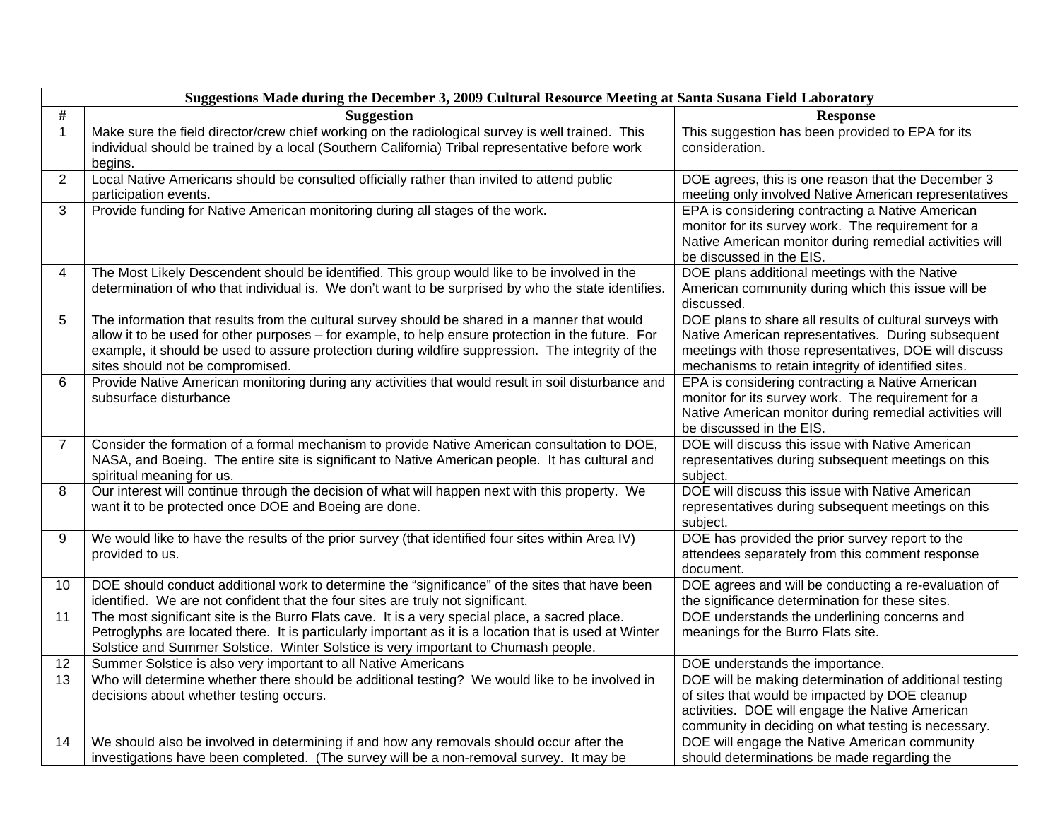|                | Suggestions Made during the December 3, 2009 Cultural Resource Meeting at Santa Susana Field Laboratory                                                                                                                                                                                                                                      |                                                                                                                                                                                                                               |  |  |
|----------------|----------------------------------------------------------------------------------------------------------------------------------------------------------------------------------------------------------------------------------------------------------------------------------------------------------------------------------------------|-------------------------------------------------------------------------------------------------------------------------------------------------------------------------------------------------------------------------------|--|--|
| $\#$           | <b>Suggestion</b>                                                                                                                                                                                                                                                                                                                            | <b>Response</b>                                                                                                                                                                                                               |  |  |
| $\mathbf{1}$   | Make sure the field director/crew chief working on the radiological survey is well trained. This<br>individual should be trained by a local (Southern California) Tribal representative before work<br>begins.                                                                                                                               | This suggestion has been provided to EPA for its<br>consideration.                                                                                                                                                            |  |  |
| $\overline{2}$ | Local Native Americans should be consulted officially rather than invited to attend public<br>participation events.                                                                                                                                                                                                                          | DOE agrees, this is one reason that the December 3<br>meeting only involved Native American representatives                                                                                                                   |  |  |
| 3              | Provide funding for Native American monitoring during all stages of the work.                                                                                                                                                                                                                                                                | EPA is considering contracting a Native American<br>monitor for its survey work. The requirement for a<br>Native American monitor during remedial activities will<br>be discussed in the EIS.                                 |  |  |
| 4              | The Most Likely Descendent should be identified. This group would like to be involved in the<br>determination of who that individual is. We don't want to be surprised by who the state identifies.                                                                                                                                          | DOE plans additional meetings with the Native<br>American community during which this issue will be<br>discussed.                                                                                                             |  |  |
| 5              | The information that results from the cultural survey should be shared in a manner that would<br>allow it to be used for other purposes - for example, to help ensure protection in the future. For<br>example, it should be used to assure protection during wildfire suppression. The integrity of the<br>sites should not be compromised. | DOE plans to share all results of cultural surveys with<br>Native American representatives. During subsequent<br>meetings with those representatives, DOE will discuss<br>mechanisms to retain integrity of identified sites. |  |  |
| 6              | Provide Native American monitoring during any activities that would result in soil disturbance and<br>subsurface disturbance                                                                                                                                                                                                                 | EPA is considering contracting a Native American<br>monitor for its survey work. The requirement for a<br>Native American monitor during remedial activities will<br>be discussed in the EIS.                                 |  |  |
| $\overline{7}$ | Consider the formation of a formal mechanism to provide Native American consultation to DOE,<br>NASA, and Boeing. The entire site is significant to Native American people. It has cultural and<br>spiritual meaning for us.                                                                                                                 | DOE will discuss this issue with Native American<br>representatives during subsequent meetings on this<br>subject.                                                                                                            |  |  |
| 8              | Our interest will continue through the decision of what will happen next with this property. We<br>want it to be protected once DOE and Boeing are done.                                                                                                                                                                                     | DOE will discuss this issue with Native American<br>representatives during subsequent meetings on this<br>subject.                                                                                                            |  |  |
| 9              | We would like to have the results of the prior survey (that identified four sites within Area IV)<br>provided to us.                                                                                                                                                                                                                         | DOE has provided the prior survey report to the<br>attendees separately from this comment response<br>document.                                                                                                               |  |  |
| 10             | DOE should conduct additional work to determine the "significance" of the sites that have been<br>identified. We are not confident that the four sites are truly not significant.                                                                                                                                                            | DOE agrees and will be conducting a re-evaluation of<br>the significance determination for these sites.                                                                                                                       |  |  |
| 11             | The most significant site is the Burro Flats cave. It is a very special place, a sacred place.<br>Petroglyphs are located there. It is particularly important as it is a location that is used at Winter<br>Solstice and Summer Solstice. Winter Solstice is very important to Chumash people.                                               | DOE understands the underlining concerns and<br>meanings for the Burro Flats site.                                                                                                                                            |  |  |
| 12             | Summer Solstice is also very important to all Native Americans                                                                                                                                                                                                                                                                               | DOE understands the importance.                                                                                                                                                                                               |  |  |
| 13             | Who will determine whether there should be additional testing? We would like to be involved in                                                                                                                                                                                                                                               | DOE will be making determination of additional testing                                                                                                                                                                        |  |  |
|                | decisions about whether testing occurs.                                                                                                                                                                                                                                                                                                      | of sites that would be impacted by DOE cleanup<br>activities. DOE will engage the Native American<br>community in deciding on what testing is necessary.                                                                      |  |  |
| 14             | We should also be involved in determining if and how any removals should occur after the                                                                                                                                                                                                                                                     | DOE will engage the Native American community                                                                                                                                                                                 |  |  |
|                | investigations have been completed. (The survey will be a non-removal survey. It may be                                                                                                                                                                                                                                                      | should determinations be made regarding the                                                                                                                                                                                   |  |  |